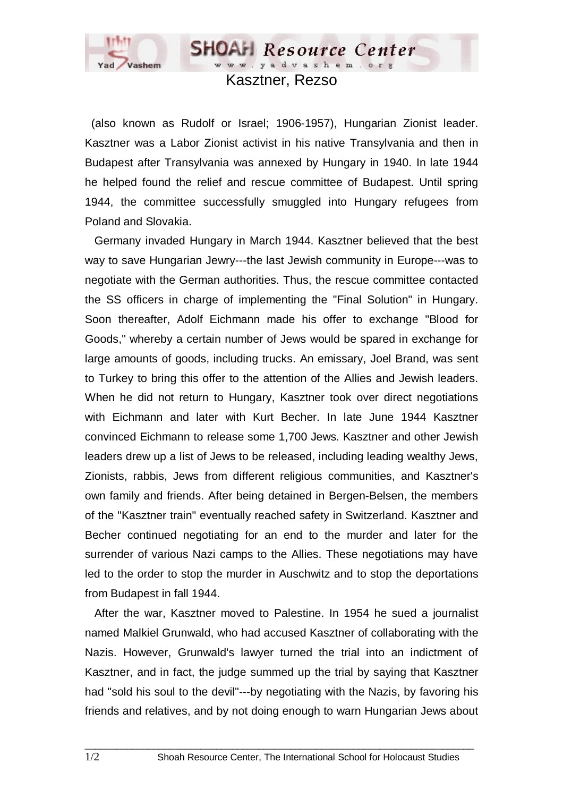

Kasztner, Rezso

**SHOAH** Resource Center www.yadvashem.org

 (also known as Rudolf or Israel; 1906-1957), Hungarian Zionist leader. Kasztner was a Labor Zionist activist in his native Transylvania and then in Budapest after Transylvania was annexed by Hungary in 1940. In late 1944 he helped found the relief and rescue committee of Budapest. Until spring 1944, the committee successfully smuggled into Hungary refugees from Poland and Slovakia.

 Germany invaded Hungary in March 1944. Kasztner believed that the best way to save Hungarian Jewry---the last Jewish community in Europe---was to negotiate with the German authorities. Thus, the rescue committee contacted the SS officers in charge of implementing the "Final Solution" in Hungary. Soon thereafter, Adolf Eichmann made his offer to exchange "Blood for Goods," whereby a certain number of Jews would be spared in exchange for large amounts of goods, including trucks. An emissary, Joel Brand, was sent to Turkey to bring this offer to the attention of the Allies and Jewish leaders. When he did not return to Hungary, Kasztner took over direct negotiations with Eichmann and later with Kurt Becher. In late June 1944 Kasztner convinced Eichmann to release some 1,700 Jews. Kasztner and other Jewish leaders drew up a list of Jews to be released, including leading wealthy Jews, Zionists, rabbis, Jews from different religious communities, and Kasztner's own family and friends. After being detained in Bergen-Belsen, the members of the "Kasztner train" eventually reached safety in Switzerland. Kasztner and Becher continued negotiating for an end to the murder and later for the surrender of various Nazi camps to the Allies. These negotiations may have led to the order to stop the murder in Auschwitz and to stop the deportations from Budapest in fall 1944.

 After the war, Kasztner moved to Palestine. In 1954 he sued a journalist named Malkiel Grunwald, who had accused Kasztner of collaborating with the Nazis. However, Grunwald's lawyer turned the trial into an indictment of Kasztner, and in fact, the judge summed up the trial by saying that Kasztner had "sold his soul to the devil"---by negotiating with the Nazis, by favoring his friends and relatives, and by not doing enough to warn Hungarian Jews about

 $\_$  ,  $\_$  ,  $\_$  ,  $\_$  ,  $\_$  ,  $\_$  ,  $\_$  ,  $\_$  ,  $\_$  ,  $\_$  ,  $\_$  ,  $\_$  ,  $\_$  ,  $\_$  ,  $\_$  ,  $\_$  ,  $\_$  ,  $\_$  ,  $\_$